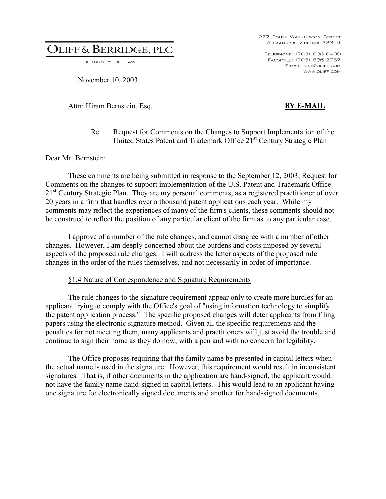ATTORNEYS AT LAW

November 10, 2003

Attn: Hiram Bernstein, Esq. **BY E-MAIL** 

277 SOUTH WASHINGTON STREET ALEXANDRIA, VIRGINIA 22314

TELEPHONE: (703) 836-6400 FACSIMILE: (703) 836-2787 E-MAIL: O&B@OLIFF.COM WWW.OLIFF.COM

#### Re: Request for Comments on the Changes to Support Implementation of the United States Patent and Trademark Office 21st Century Strategic Plan

Dear Mr. Bernstein:

These comments are being submitted in response to the September 12, 2003, Request for Comments on the changes to support implementation of the U.S. Patent and Trademark Office 21<sup>st</sup> Century Strategic Plan. They are my personal comments, as a registered practitioner of over 20 years in a firm that handles over a thousand patent applications each year. While my comments may reflect the experiences of many of the firm's clients, these comments should not be construed to reflect the position of any particular client of the firm as to any particular case.

I approve of a number of the rule changes, and cannot disagree with a number of other changes. However, I am deeply concerned about the burdens and costs imposed by several aspects of the proposed rule changes. I will address the latter aspects of the proposed rule changes in the order of the rules themselves, and not necessarily in order of importance.

#### §1.4 Nature of Correspondence and Signature Requirements

The rule changes to the signature requirement appear only to create more hurdles for an applicant trying to comply with the Office's goal of "using information technology to simplify the patent application process." The specific proposed changes will deter applicants from filing papers using the electronic signature method. Given all the specific requirements and the penalties for not meeting them, many applicants and practitioners will just avoid the trouble and continue to sign their name as they do now, with a pen and with no concern for legibility.

The Office proposes requiring that the family name be presented in capital letters when the actual name is used in the signature. However, this requirement would result in inconsistent signatures. That is, if other documents in the application are hand-signed, the applicant would not have the family name hand-signed in capital letters. This would lead to an applicant having one signature for electronically signed documents and another for hand-signed documents.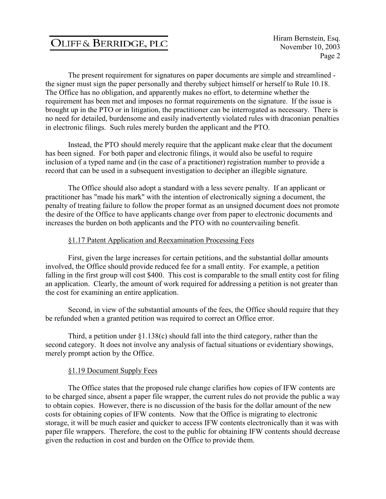The present requirement for signatures on paper documents are simple and streamlined the signer must sign the paper personally and thereby subject himself or herself to Rule 10.18. The Office has no obligation, and apparently makes no effort, to determine whether the requirement has been met and imposes no format requirements on the signature. If the issue is brought up in the PTO or in litigation, the practitioner can be interrogated as necessary. There is no need for detailed, burdensome and easily inadvertently violated rules with draconian penalties in electronic filings. Such rules merely burden the applicant and the PTO.

Instead, the PTO should merely require that the applicant make clear that the document has been signed. For both paper and electronic filings, it would also be useful to require inclusion of a typed name and (in the case of a practitioner) registration number to provide a record that can be used in a subsequent investigation to decipher an illegible signature.

The Office should also adopt a standard with a less severe penalty. If an applicant or practitioner has "made his mark" with the intention of electronically signing a document, the penalty of treating failure to follow the proper format as an unsigned document does not promote the desire of the Office to have applicants change over from paper to electronic documents and increases the burden on both applicants and the PTO with no countervailing benefit.

#### §1.17 Patent Application and Reexamination Processing Fees

First, given the large increases for certain petitions, and the substantial dollar amounts involved, the Office should provide reduced fee for a small entity. For example, a petition falling in the first group will cost \$400. This cost is comparable to the small entity cost for filing an application. Clearly, the amount of work required for addressing a petition is not greater than the cost for examining an entire application.

Second, in view of the substantial amounts of the fees, the Office should require that they be refunded when a granted petition was required to correct an Office error.

Third, a petition under  $\S1.138(c)$  should fall into the third category, rather than the second category. It does not involve any analysis of factual situations or evidentiary showings, merely prompt action by the Office.

#### §1.19 Document Supply Fees

The Office states that the proposed rule change clarifies how copies of IFW contents are to be charged since, absent a paper file wrapper, the current rules do not provide the public a way to obtain copies. However, there is no discussion of the basis for the dollar amount of the new costs for obtaining copies of IFW contents. Now that the Office is migrating to electronic storage, it will be much easier and quicker to access IFW contents electronically than it was with paper file wrappers. Therefore, the cost to the public for obtaining IFW contents should decrease given the reduction in cost and burden on the Office to provide them.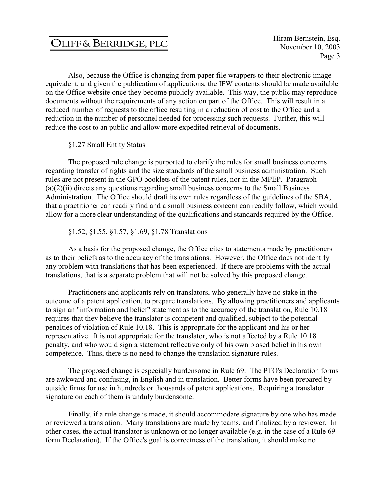Hiram Bernstein, Esq. November 10, 2003 Page 3

Also, because the Office is changing from paper file wrappers to their electronic image equivalent, and given the publication of applications, the IFW contents should be made available on the Office website once they become publicly available. This way, the public may reproduce documents without the requirements of any action on part of the Office. This will result in a reduced number of requests to the office resulting in a reduction of cost to the Office and a reduction in the number of personnel needed for processing such requests. Further, this will reduce the cost to an public and allow more expedited retrieval of documents.

#### §1.27 Small Entity Status

The proposed rule change is purported to clarify the rules for small business concerns regarding transfer of rights and the size standards of the small business administration. Such rules are not present in the GPO booklets of the patent rules, nor in the MPEP. Paragraph  $(a)(2)(ii)$  directs any questions regarding small business concerns to the Small Business Administration. The Office should draft its own rules regardless of the guidelines of the SBA, that a practitioner can readily find and a small business concern can readily follow, which would allow for a more clear understanding of the qualifications and standards required by the Office.

#### §1.52, §1.55, §1.57, §1.69, §1.78 Translations

As a basis for the proposed change, the Office cites to statements made by practitioners as to their beliefs as to the accuracy of the translations. However, the Office does not identify any problem with translations that has been experienced. If there are problems with the actual translations, that is a separate problem that will not be solved by this proposed change.

Practitioners and applicants rely on translators, who generally have no stake in the outcome of a patent application, to prepare translations. By allowing practitioners and applicants to sign an "information and belief" statement as to the accuracy of the translation, Rule 10.18 requires that they believe the translator is competent and qualified, subject to the potential penalties of violation of Rule 10.18. This is appropriate for the applicant and his or her representative. It is not appropriate for the translator, who is not affected by a Rule 10.18 penalty, and who would sign a statement reflective only of his own biased belief in his own competence. Thus, there is no need to change the translation signature rules.

The proposed change is especially burdensome in Rule 69. The PTO's Declaration forms are awkward and confusing, in English and in translation. Better forms have been prepared by outside firms for use in hundreds or thousands of patent applications. Requiring a translator signature on each of them is unduly burdensome.

Finally, if a rule change is made, it should accommodate signature by one who has made or reviewed a translation. Many translations are made by teams, and finalized by a reviewer. In other cases, the actual translator is unknown or no longer available (e.g. in the case of a Rule 69 form Declaration). If the Office's goal is correctness of the translation, it should make no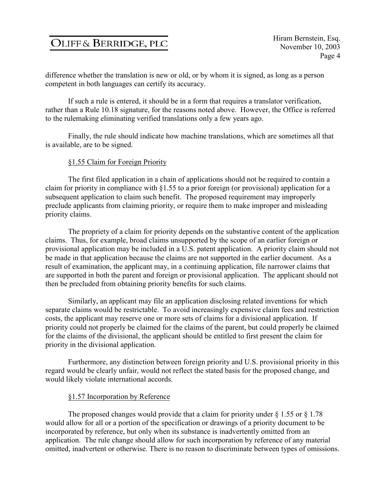difference whether the translation is new or old, or by whom it is signed, as long as a person competent in both languages can certify its accuracy.

If such a rule is entered, it should be in a form that requires a translator verification, rather than a Rule 10.18 signature, for the reasons noted above. However, the Office is referred to the rulemaking eliminating verified translations only a few years ago.

Finally, the rule should indicate how machine translations, which are sometimes all that is available, are to be signed.

#### §1.55 Claim for Foreign Priority

The first filed application in a chain of applications should not be required to contain a claim for priority in compliance with §1.55 to a prior foreign (or provisional) application for a subsequent application to claim such benefit. The proposed requirement may improperly preclude applicants from claiming priority, or require them to make improper and misleading priority claims.

The propriety of a claim for priority depends on the substantive content of the application claims. Thus, for example, broad claims unsupported by the scope of an earlier foreign or provisional application may be included in a U.S. patent application. A priority claim should not be made in that application because the claims are not supported in the earlier document. As a result of examination, the applicant may, in a continuing application, file narrower claims that are supported in both the parent and foreign or provisional application. The applicant should not then be precluded from obtaining priority benefits for such claims.

Similarly, an applicant may file an application disclosing related inventions for which separate claims would be restrictable. To avoid increasingly expensive claim fees and restriction costs, the applicant may reserve one or more sets of claims for a divisional application. If priority could not properly be claimed for the claims of the parent, but could properly be claimed for the claims of the divisional, the applicant should be entitled to first present the claim for priority in the divisional application.

Furthermore, any distinction between foreign priority and U.S. provisional priority in this regard would be clearly unfair, would not reflect the stated basis for the proposed change, and would likely violate international accords.

#### §1.57 Incorporation by Reference

The proposed changes would provide that a claim for priority under  $\S 1.55$  or  $\S 1.78$ would allow for all or a portion of the specification or drawings of a priority document to be incorporated by reference, but only when its substance is inadvertently omitted from an application. The rule change should allow for such incorporation by reference of any material omitted, inadvertent or otherwise. There is no reason to discriminate between types of omissions.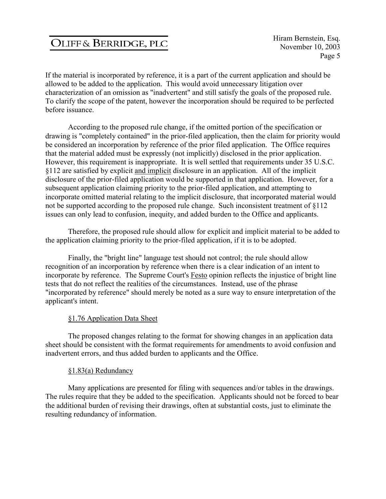If the material is incorporated by reference, it is a part of the current application and should be allowed to be added to the application. This would avoid unnecessary litigation over characterization of an omission as "inadvertent" and still satisfy the goals of the proposed rule. To clarify the scope of the patent, however the incorporation should be required to be perfected before issuance.

According to the proposed rule change, if the omitted portion of the specification or drawing is "completely contained" in the prior-filed application, then the claim for priority would be considered an incorporation by reference of the prior filed application. The Office requires that the material added must be expressly (not implicitly) disclosed in the prior application. However, this requirement is inappropriate. It is well settled that requirements under 35 U.S.C. §112 are satisfied by explicit and implicit disclosure in an application. All of the implicit disclosure of the prior-filed application would be supported in that application. However, for a subsequent application claiming priority to the prior-filed application, and attempting to incorporate omitted material relating to the implicit disclosure, that incorporated material would not be supported according to the proposed rule change. Such inconsistent treatment of §112 issues can only lead to confusion, inequity, and added burden to the Office and applicants.

Therefore, the proposed rule should allow for explicit and implicit material to be added to the application claiming priority to the prior-filed application, if it is to be adopted.

Finally, the "bright line" language test should not control; the rule should allow recognition of an incorporation by reference when there is a clear indication of an intent to incorporate by reference. The Supreme Court's Festo opinion reflects the injustice of bright line tests that do not reflect the realities of the circumstances. Instead, use of the phrase "incorporated by reference" should merely be noted as a sure way to ensure interpretation of the applicant's intent.

#### §1.76 Application Data Sheet

The proposed changes relating to the format for showing changes in an application data sheet should be consistent with the format requirements for amendments to avoid confusion and inadvertent errors, and thus added burden to applicants and the Office.

#### §1.83(a) Redundancy

Many applications are presented for filing with sequences and/or tables in the drawings. The rules require that they be added to the specification. Applicants should not be forced to bear the additional burden of revising their drawings, often at substantial costs, just to eliminate the resulting redundancy of information.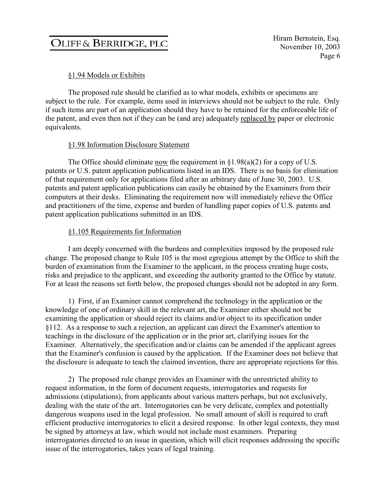### §1.94 Models or Exhibits

The proposed rule should be clarified as to what models, exhibits or specimens are subject to the rule. For example, items used in interviews should not be subject to the rule. Only if such items are part of an application should they have to be retained for the enforceable life of the patent, and even then not if they can be (and are) adequately replaced by paper or electronic equivalents.

#### §1.98 Information Disclosure Statement

The Office should eliminate now the requirement in  $\S1.98(a)(2)$  for a copy of U.S. patents or U.S. patent application publications listed in an IDS. There is no basis for elimination of that requirement only for applications filed after an arbitrary date of June 30, 2003. U.S. patents and patent application publications can easily be obtained by the Examiners from their computers at their desks. Eliminating the requirement now will immediately relieve the Office and practitioners of the time, expense and burden of handling paper copies of U.S. patents and patent application publications submitted in an IDS.

#### §1.105 Requirements for Information

I am deeply concerned with the burdens and complexities imposed by the proposed rule change. The proposed change to Rule 105 is the most egregious attempt by the Office to shift the burden of examination from the Examiner to the applicant, in the process creating huge costs, risks and prejudice to the applicant, and exceeding the authority granted to the Office by statute. For at least the reasons set forth below, the proposed changes should not be adopted in any form.

1) First, if an Examiner cannot comprehend the technology in the application or the knowledge of one of ordinary skill in the relevant art, the Examiner either should not be examining the application or should reject its claims and/or object to its specification under §112. As a response to such a rejection, an applicant can direct the Examiner's attention to teachings in the disclosure of the application or in the prior art, clarifying issues for the Examiner. Alternatively, the specification and/or claims can be amended if the applicant agrees that the Examiner's confusion is caused by the application. If the Examiner does not believe that the disclosure is adequate to teach the claimed invention, there are appropriate rejections for this.

2) The proposed rule change provides an Examiner with the unrestricted ability to request information, in the form of document requests, interrogatories and requests for admissions (stipulations), from applicants about various matters perhaps, but not exclusively, dealing with the state of the art. Interrogatories can be very delicate, complex and potentially dangerous weapons used in the legal profession. No small amount of skill is required to craft efficient productive interrogatories to elicit a desired response. In other legal contexts, they must be signed by attorneys at law, which would not include most examiners. Preparing interrogatories directed to an issue in question, which will elicit responses addressing the specific issue of the interrogatories, takes years of legal training.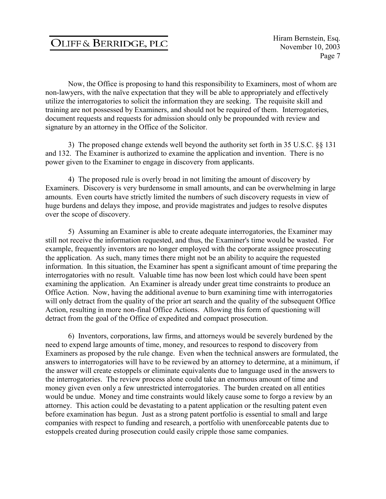Now, the Office is proposing to hand this responsibility to Examiners, most of whom are non-lawyers, with the naïve expectation that they will be able to appropriately and effectively utilize the interrogatories to solicit the information they are seeking. The requisite skill and training are not possessed by Examiners, and should not be required of them. Interrogatories, document requests and requests for admission should only be propounded with review and signature by an attorney in the Office of the Solicitor.

3) The proposed change extends well beyond the authority set forth in 35 U.S.C. §§ 131 and 132. The Examiner is authorized to examine the application and invention. There is no power given to the Examiner to engage in discovery from applicants.

4) The proposed rule is overly broad in not limiting the amount of discovery by Examiners. Discovery is very burdensome in small amounts, and can be overwhelming in large amounts. Even courts have strictly limited the numbers of such discovery requests in view of huge burdens and delays they impose, and provide magistrates and judges to resolve disputes over the scope of discovery.

5) Assuming an Examiner is able to create adequate interrogatories, the Examiner may still not receive the information requested, and thus, the Examiner's time would be wasted. For example, frequently inventors are no longer employed with the corporate assignee prosecuting the application. As such, many times there might not be an ability to acquire the requested information. In this situation, the Examiner has spent a significant amount of time preparing the interrogatories with no result. Valuable time has now been lost which could have been spent examining the application. An Examiner is already under great time constraints to produce an Office Action. Now, having the additional avenue to burn examining time with interrogatories will only detract from the quality of the prior art search and the quality of the subsequent Office Action, resulting in more non-final Office Actions. Allowing this form of questioning will detract from the goal of the Office of expedited and compact prosecution.

6) Inventors, corporations, law firms, and attorneys would be severely burdened by the need to expend large amounts of time, money, and resources to respond to discovery from Examiners as proposed by the rule change. Even when the technical answers are formulated, the answers to interrogatories will have to be reviewed by an attorney to determine, at a minimum, if the answer will create estoppels or eliminate equivalents due to language used in the answers to the interrogatories. The review process alone could take an enormous amount of time and money given even only a few unrestricted interrogatories. The burden created on all entities would be undue. Money and time constraints would likely cause some to forgo a review by an attorney. This action could be devastating to a patent application or the resulting patent even before examination has begun. Just as a strong patent portfolio is essential to small and large companies with respect to funding and research, a portfolio with unenforceable patents due to estoppels created during prosecution could easily cripple those same companies.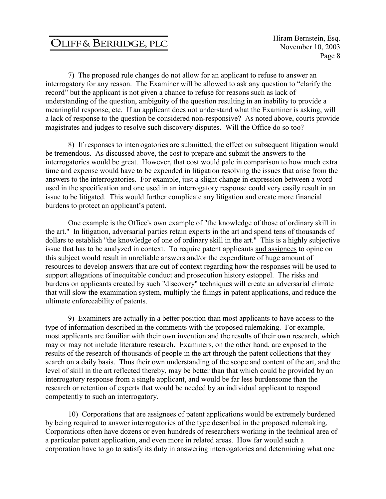Hiram Bernstein, Esq. November 10, 2003 Page 8

7) The proposed rule changes do not allow for an applicant to refuse to answer an interrogatory for any reason. The Examiner will be allowed to ask any question to "clarify the record" but the applicant is not given a chance to refuse for reasons such as lack of understanding of the question, ambiguity of the question resulting in an inability to provide a meaningful response, etc. If an applicant does not understand what the Examiner is asking, will a lack of response to the question be considered non-responsive? As noted above, courts provide magistrates and judges to resolve such discovery disputes. Will the Office do so too?

8) If responses to interrogatories are submitted, the effect on subsequent litigation would be tremendous. As discussed above, the cost to prepare and submit the answers to the interrogatories would be great. However, that cost would pale in comparison to how much extra time and expense would have to be expended in litigation resolving the issues that arise from the answers to the interrogatories. For example, just a slight change in expression between a word used in the specification and one used in an interrogatory response could very easily result in an issue to be litigated. This would further complicate any litigation and create more financial burdens to protect an applicant's patent.

One example is the Office's own example of "the knowledge of those of ordinary skill in the art." In litigation, adversarial parties retain experts in the art and spend tens of thousands of dollars to establish "the knowledge of one of ordinary skill in the art." This is a highly subjective issue that has to be analyzed in context. To require patent applicants and assignees to opine on this subject would result in unreliable answers and/or the expenditure of huge amount of resources to develop answers that are out of context regarding how the responses will be used to support allegations of inequitable conduct and prosecution history estoppel. The risks and burdens on applicants created by such "discovery" techniques will create an adversarial climate that will slow the examination system, multiply the filings in patent applications, and reduce the ultimate enforceability of patents.

9) Examiners are actually in a better position than most applicants to have access to the type of information described in the comments with the proposed rulemaking. For example, most applicants are familiar with their own invention and the results of their own research, which may or may not include literature research. Examiners, on the other hand, are exposed to the results of the research of thousands of people in the art through the patent collections that they search on a daily basis. Thus their own understanding of the scope and content of the art, and the level of skill in the art reflected thereby, may be better than that which could be provided by an interrogatory response from a single applicant, and would be far less burdensome than the research or retention of experts that would be needed by an individual applicant to respond competently to such an interrogatory.

10) Corporations that are assignees of patent applications would be extremely burdened by being required to answer interrogatories of the type described in the proposed rulemaking. Corporations often have dozens or even hundreds of researchers working in the technical area of a particular patent application, and even more in related areas. How far would such a corporation have to go to satisfy its duty in answering interrogatories and determining what one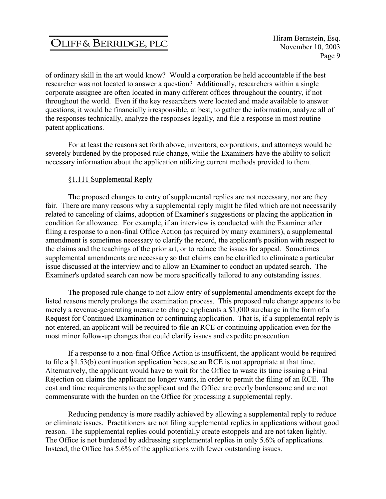of ordinary skill in the art would know? Would a corporation be held accountable if the best researcher was not located to answer a question? Additionally, researchers within a single corporate assignee are often located in many different offices throughout the country, if not throughout the world. Even if the key researchers were located and made available to answer questions, it would be financially irresponsible, at best, to gather the information, analyze all of the responses technically, analyze the responses legally, and file a response in most routine patent applications.

For at least the reasons set forth above, inventors, corporations, and attorneys would be severely burdened by the proposed rule change, while the Examiners have the ability to solicit necessary information about the application utilizing current methods provided to them.

#### §1.111 Supplemental Reply

The proposed changes to entry of supplemental replies are not necessary, nor are they fair. There are many reasons why a supplemental reply might be filed which are not necessarily related to canceling of claims, adoption of Examiner's suggestions or placing the application in condition for allowance. For example, if an interview is conducted with the Examiner after filing a response to a non-final Office Action (as required by many examiners), a supplemental amendment is sometimes necessary to clarify the record, the applicant's position with respect to the claims and the teachings of the prior art, or to reduce the issues for appeal. Sometimes supplemental amendments are necessary so that claims can be clarified to eliminate a particular issue discussed at the interview and to allow an Examiner to conduct an updated search. The Examiner's updated search can now be more specifically tailored to any outstanding issues.

The proposed rule change to not allow entry of supplemental amendments except for the listed reasons merely prolongs the examination process. This proposed rule change appears to be merely a revenue-generating measure to charge applicants a \$1,000 surcharge in the form of a Request for Continued Examination or continuing application. That is, if a supplemental reply is not entered, an applicant will be required to file an RCE or continuing application even for the most minor follow-up changes that could clarify issues and expedite prosecution.

If a response to a non-final Office Action is insufficient, the applicant would be required to file a §1.53(b) continuation application because an RCE is not appropriate at that time. Alternatively, the applicant would have to wait for the Office to waste its time issuing a Final Rejection on claims the applicant no longer wants, in order to permit the filing of an RCE. The cost and time requirements to the applicant and the Office are overly burdensome and are not commensurate with the burden on the Office for processing a supplemental reply.

Reducing pendency is more readily achieved by allowing a supplemental reply to reduce or eliminate issues. Practitioners are not filing supplemental replies in applications without good reason. The supplemental replies could potentially create estoppels and are not taken lightly. The Office is not burdened by addressing supplemental replies in only 5.6% of applications. Instead, the Office has 5.6% of the applications with fewer outstanding issues.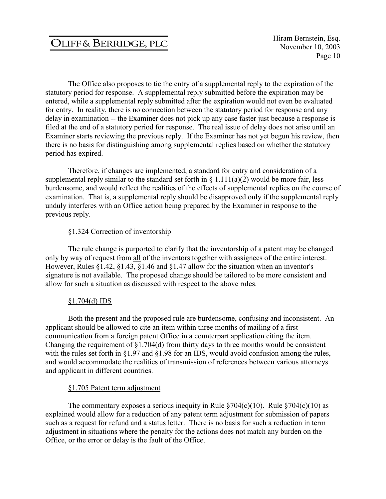Hiram Bernstein, Esq. November 10, 2003 Page 10

The Office also proposes to tie the entry of a supplemental reply to the expiration of the statutory period for response. A supplemental reply submitted before the expiration may be entered, while a supplemental reply submitted after the expiration would not even be evaluated for entry. In reality, there is no connection between the statutory period for response and any delay in examination -- the Examiner does not pick up any case faster just because a response is filed at the end of a statutory period for response. The real issue of delay does not arise until an Examiner starts reviewing the previous reply. If the Examiner has not yet begun his review, then there is no basis for distinguishing among supplemental replies based on whether the statutory period has expired.

Therefore, if changes are implemented, a standard for entry and consideration of a supplemental reply similar to the standard set forth in  $\S 1.111(a)(2)$  would be more fair, less burdensome, and would reflect the realities of the effects of supplemental replies on the course of examination. That is, a supplemental reply should be disapproved only if the supplemental reply unduly interferes with an Office action being prepared by the Examiner in response to the previous reply.

#### §1.324 Correction of inventorship

The rule change is purported to clarify that the inventorship of a patent may be changed only by way of request from all of the inventors together with assignees of the entire interest. However, Rules §1.42, §1.43, §1.46 and §1.47 allow for the situation when an inventor's signature is not available. The proposed change should be tailored to be more consistent and allow for such a situation as discussed with respect to the above rules.

#### $§1.704(d)$  IDS

Both the present and the proposed rule are burdensome, confusing and inconsistent. An applicant should be allowed to cite an item within three months of mailing of a first communication from a foreign patent Office in a counterpart application citing the item. Changing the requirement of §1.704(d) from thirty days to three months would be consistent with the rules set forth in §1.97 and §1.98 for an IDS, would avoid confusion among the rules, and would accommodate the realities of transmission of references between various attorneys and applicant in different countries.

#### §1.705 Patent term adjustment

The commentary exposes a serious inequity in Rule  $$704(c)(10)$ . Rule  $$704(c)(10)$  as explained would allow for a reduction of any patent term adjustment for submission of papers such as a request for refund and a status letter. There is no basis for such a reduction in term adjustment in situations where the penalty for the actions does not match any burden on the Office, or the error or delay is the fault of the Office.